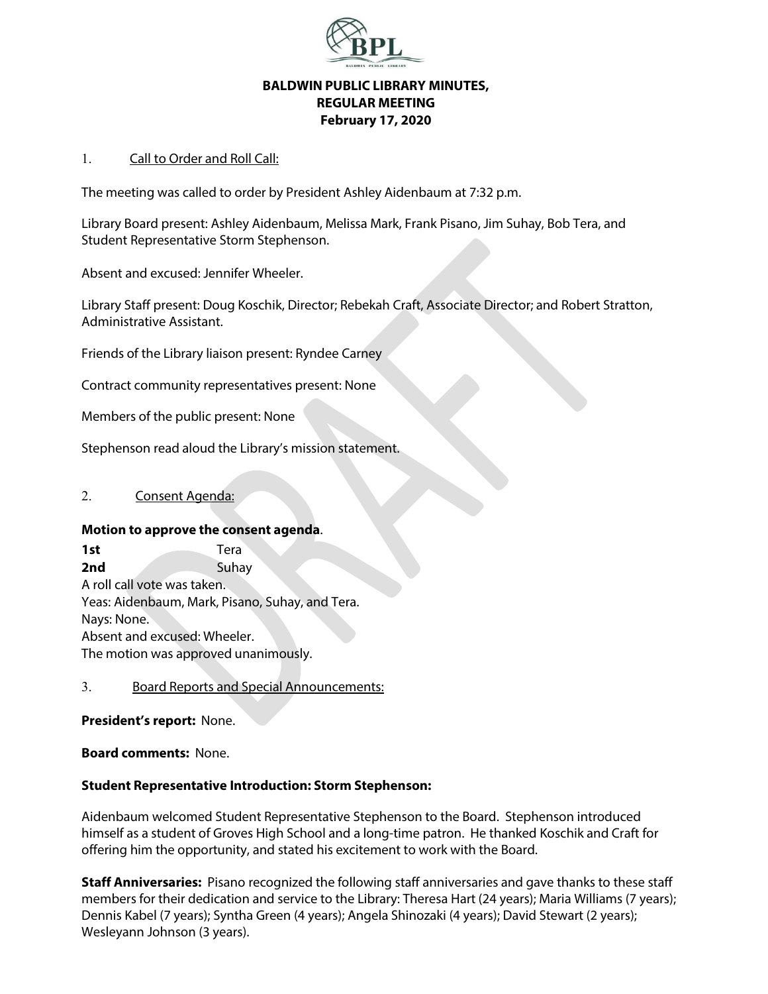

## **BALDWIN PUBLIC LIBRARY MINUTES, REGULAR MEETING February 17, 2020**

### 1. Call to Order and Roll Call:

The meeting was called to order by President Ashley Aidenbaum at 7:32 p.m.

Library Board present: Ashley Aidenbaum, Melissa Mark, Frank Pisano, Jim Suhay, Bob Tera, and Student Representative Storm Stephenson.

Absent and excused: Jennifer Wheeler.

Library Staff present: Doug Koschik, Director; Rebekah Craft, Associate Director; and Robert Stratton, Administrative Assistant.

Friends of the Library liaison present: Ryndee Carney

Contract community representatives present: None

Members of the public present: None

Stephenson read aloud the Library's mission statement.

### 2. Consent Agenda:

### **Motion to approve the consent agenda**.

**1st** Tera **2nd Suhay** A roll call vote was taken. Yeas: Aidenbaum, Mark, Pisano, Suhay, and Tera. Nays: None. Absent and excused: Wheeler. The motion was approved unanimously.

### 3. Board Reports and Special Announcements:

### **President's report:** None.

**Board comments:** None.

### **Student Representative Introduction: Storm Stephenson:**

Aidenbaum welcomed Student Representative Stephenson to the Board. Stephenson introduced himself as a student of Groves High School and a long-time patron. He thanked Koschik and Craft for offering him the opportunity, and stated his excitement to work with the Board.

**Staff Anniversaries:** Pisano recognized the following staff anniversaries and gave thanks to these staff members for their dedication and service to the Library: Theresa Hart (24 years); Maria Williams (7 years); Dennis Kabel (7 years); Syntha Green (4 years); Angela Shinozaki (4 years); David Stewart (2 years); Wesleyann Johnson (3 years).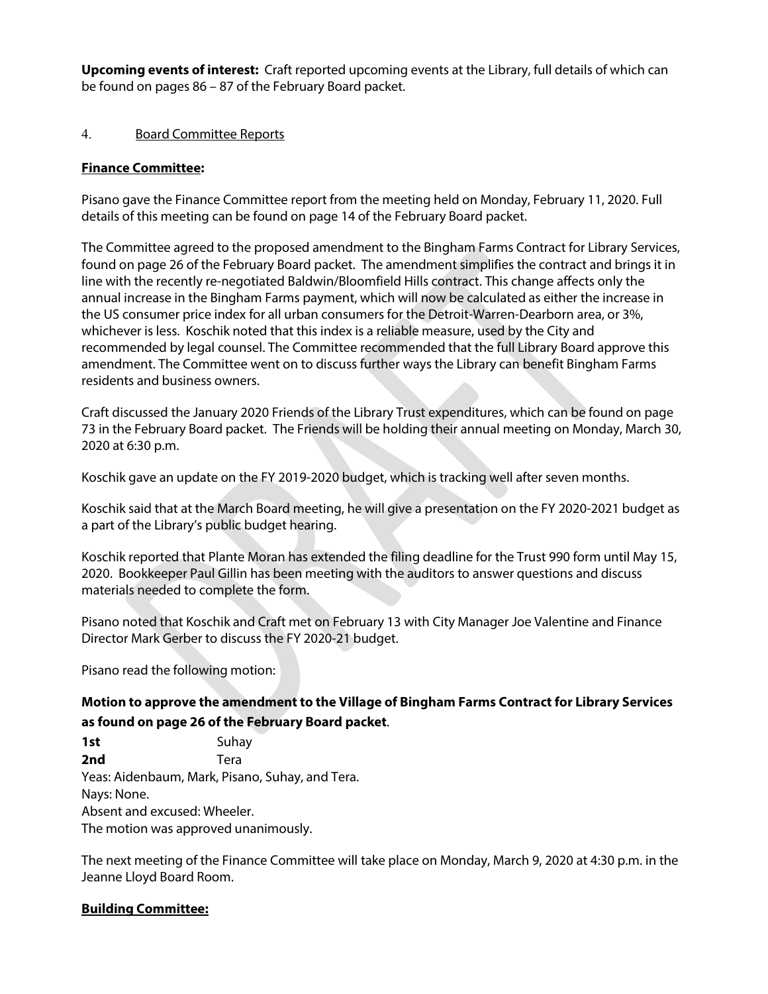**Upcoming events of interest:** Craft reported upcoming events at the Library, full details of which can be found on pages 86 – 87 of the February Board packet.

## 4. Board Committee Reports

## **Finance Committee:**

Pisano gave the Finance Committee report from the meeting held on Monday, February 11, 2020. Full details of this meeting can be found on page 14 of the February Board packet.

The Committee agreed to the proposed amendment to the Bingham Farms Contract for Library Services, found on page 26 of the February Board packet. The amendment simplifies the contract and brings it in line with the recently re-negotiated Baldwin/Bloomfield Hills contract. This change affects only the annual increase in the Bingham Farms payment, which will now be calculated as either the increase in the US consumer price index for all urban consumers for the Detroit-Warren-Dearborn area, or 3%, whichever is less. Koschik noted that this index is a reliable measure, used by the City and recommended by legal counsel. The Committee recommended that the full Library Board approve this amendment. The Committee went on to discuss further ways the Library can benefit Bingham Farms residents and business owners.

Craft discussed the January 2020 Friends of the Library Trust expenditures, which can be found on page 73 in the February Board packet. The Friends will be holding their annual meeting on Monday, March 30, 2020 at 6:30 p.m.

Koschik gave an update on the FY 2019-2020 budget, which is tracking well after seven months.

Koschik said that at the March Board meeting, he will give a presentation on the FY 2020-2021 budget as a part of the Library's public budget hearing.

Koschik reported that Plante Moran has extended the filing deadline for the Trust 990 form until May 15, 2020. Bookkeeper Paul Gillin has been meeting with the auditors to answer questions and discuss materials needed to complete the form.

Pisano noted that Koschik and Craft met on February 13 with City Manager Joe Valentine and Finance Director Mark Gerber to discuss the FY 2020-21 budget.

Pisano read the following motion:

**Motion to approve the amendment to the Village of Bingham Farms Contract for Library Services as found on page 26 of the February Board packet**.

**1st** Suhav **2nd** Tera Yeas: Aidenbaum, Mark, Pisano, Suhay, and Tera. Nays: None. Absent and excused: Wheeler. The motion was approved unanimously.

The next meeting of the Finance Committee will take place on Monday, March 9, 2020 at 4:30 p.m. in the Jeanne Lloyd Board Room.

## **Building Committee:**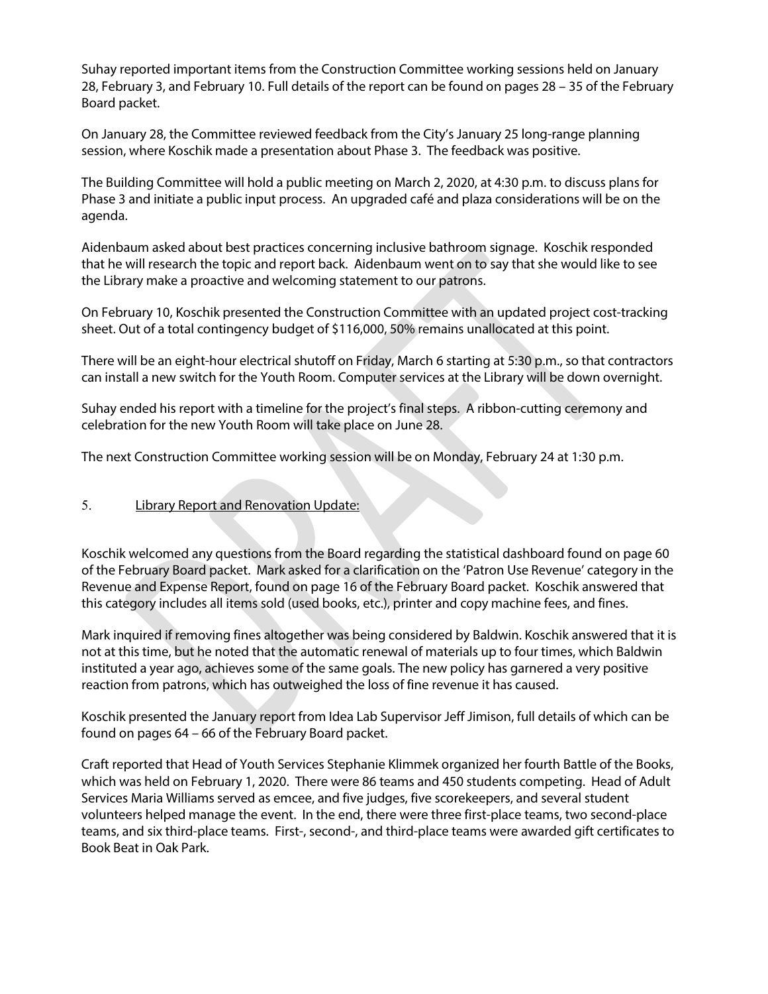Suhay reported important items from the Construction Committee working sessions held on January 28, February 3, and February 10. Full details of the report can be found on pages 28 – 35 of the February Board packet.

On January 28, the Committee reviewed feedback from the City's January 25 long-range planning session, where Koschik made a presentation about Phase 3. The feedback was positive.

The Building Committee will hold a public meeting on March 2, 2020, at 4:30 p.m. to discuss plans for Phase 3 and initiate a public input process. An upgraded café and plaza considerations will be on the agenda.

Aidenbaum asked about best practices concerning inclusive bathroom signage. Koschik responded that he will research the topic and report back. Aidenbaum went on to say that she would like to see the Library make a proactive and welcoming statement to our patrons.

On February 10, Koschik presented the Construction Committee with an updated project cost-tracking sheet. Out of a total contingency budget of \$116,000, 50% remains unallocated at this point.

There will be an eight-hour electrical shutoff on Friday, March 6 starting at 5:30 p.m., so that contractors can install a new switch for the Youth Room. Computer services at the Library will be down overnight.

Suhay ended his report with a timeline for the project's final steps. A ribbon-cutting ceremony and celebration for the new Youth Room will take place on June 28.

The next Construction Committee working session will be on Monday, February 24 at 1:30 p.m.

## 5. Library Report and Renovation Update:

Koschik welcomed any questions from the Board regarding the statistical dashboard found on page 60 of the February Board packet. Mark asked for a clarification on the 'Patron Use Revenue' category in the Revenue and Expense Report, found on page 16 of the February Board packet. Koschik answered that this category includes all items sold (used books, etc.), printer and copy machine fees, and fines.

Mark inquired if removing fines altogether was being considered by Baldwin. Koschik answered that it is not at this time, but he noted that the automatic renewal of materials up to four times, which Baldwin instituted a year ago, achieves some of the same goals. The new policy has garnered a very positive reaction from patrons, which has outweighed the loss of fine revenue it has caused.

Koschik presented the January report from Idea Lab Supervisor Jeff Jimison, full details of which can be found on pages 64 – 66 of the February Board packet.

Craft reported that Head of Youth Services Stephanie Klimmek organized her fourth Battle of the Books, which was held on February 1, 2020. There were 86 teams and 450 students competing. Head of Adult Services Maria Williams served as emcee, and five judges, five scorekeepers, and several student volunteers helped manage the event. In the end, there were three first-place teams, two second-place teams, and six third-place teams. First-, second-, and third-place teams were awarded gift certificates to Book Beat in Oak Park.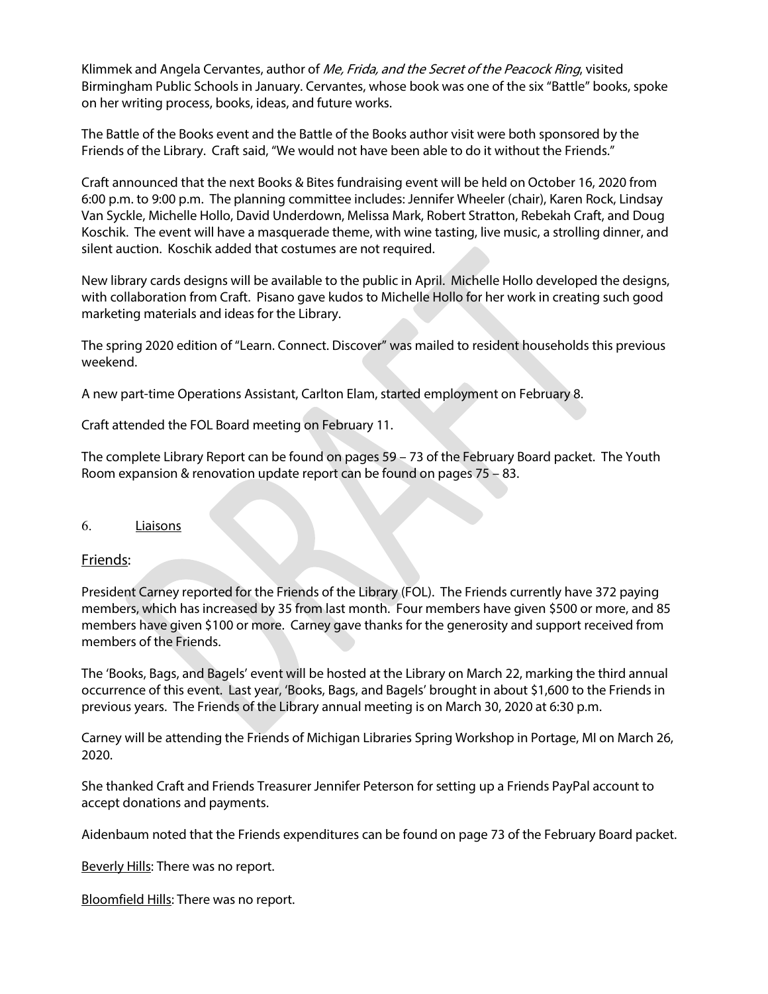Klimmek and Angela Cervantes, author of *Me, Frida, and the Secret of the Peacock Ring*, visited Birmingham Public Schools in January. Cervantes, whose book was one of the six "Battle" books, spoke on her writing process, books, ideas, and future works.

The Battle of the Books event and the Battle of the Books author visit were both sponsored by the Friends of the Library. Craft said, "We would not have been able to do it without the Friends."

Craft announced that the next Books & Bites fundraising event will be held on October 16, 2020 from 6:00 p.m. to 9:00 p.m. The planning committee includes: Jennifer Wheeler (chair), Karen Rock, Lindsay Van Syckle, Michelle Hollo, David Underdown, Melissa Mark, Robert Stratton, Rebekah Craft, and Doug Koschik. The event will have a masquerade theme, with wine tasting, live music, a strolling dinner, and silent auction. Koschik added that costumes are not required.

New library cards designs will be available to the public in April. Michelle Hollo developed the designs, with collaboration from Craft. Pisano gave kudos to Michelle Hollo for her work in creating such good marketing materials and ideas for the Library.

The spring 2020 edition of "Learn. Connect. Discover" was mailed to resident households this previous weekend.

A new part-time Operations Assistant, Carlton Elam, started employment on February 8.

Craft attended the FOL Board meeting on February 11.

The complete Library Report can be found on pages 59 – 73 of the February Board packet. The Youth Room expansion & renovation update report can be found on pages 75 – 83.

### 6. Liaisons

### Friends:

President Carney reported for the Friends of the Library (FOL). The Friends currently have 372 paying members, which has increased by 35 from last month. Four members have given \$500 or more, and 85 members have given \$100 or more. Carney gave thanks for the generosity and support received from members of the Friends.

The 'Books, Bags, and Bagels' event will be hosted at the Library on March 22, marking the third annual occurrence of this event. Last year, 'Books, Bags, and Bagels' brought in about \$1,600 to the Friends in previous years. The Friends of the Library annual meeting is on March 30, 2020 at 6:30 p.m.

Carney will be attending the Friends of Michigan Libraries Spring Workshop in Portage, MI on March 26, 2020.

She thanked Craft and Friends Treasurer Jennifer Peterson for setting up a Friends PayPal account to accept donations and payments.

Aidenbaum noted that the Friends expenditures can be found on page 73 of the February Board packet.

Beverly Hills: There was no report.

Bloomfield Hills: There was no report.